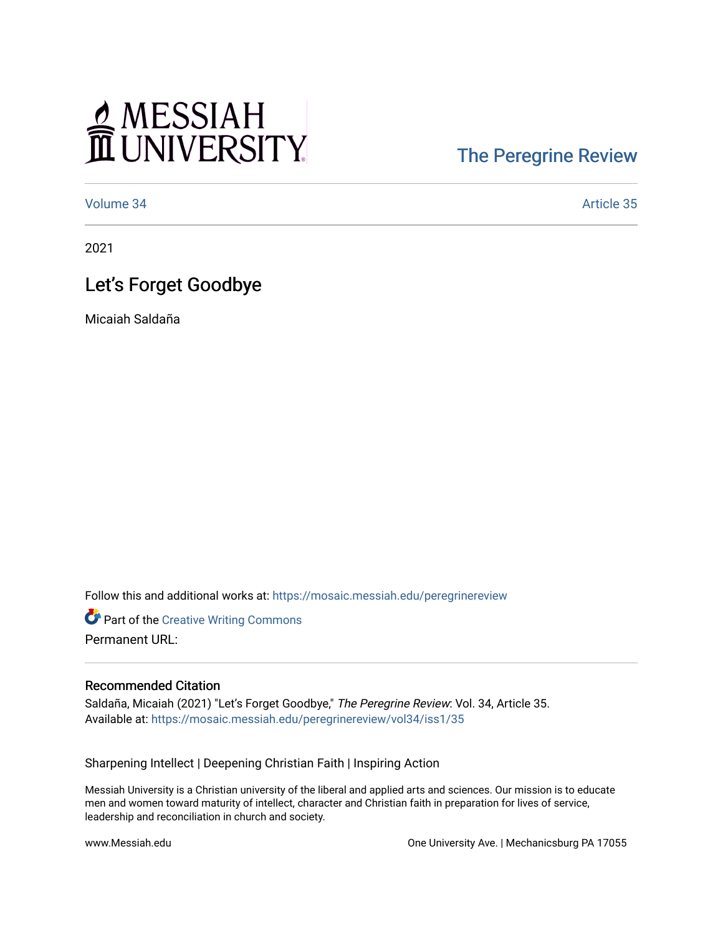# MESSIAH

## [The Peregrine Review](https://mosaic.messiah.edu/peregrinereview)

[Volume 34](https://mosaic.messiah.edu/peregrinereview/vol34) Article 35

2021

### Let's Forget Goodbye

Micaiah Saldaña

Follow this and additional works at: [https://mosaic.messiah.edu/peregrinereview](https://mosaic.messiah.edu/peregrinereview?utm_source=mosaic.messiah.edu%2Fperegrinereview%2Fvol34%2Fiss1%2F35&utm_medium=PDF&utm_campaign=PDFCoverPages) 

**Part of the Creative Writing Commons** Permanent URL:

#### Recommended Citation

Saldaña, Micaiah (2021) "Let's Forget Goodbye," The Peregrine Review: Vol. 34, Article 35. Available at: [https://mosaic.messiah.edu/peregrinereview/vol34/iss1/35](https://mosaic.messiah.edu/peregrinereview/vol34/iss1/35?utm_source=mosaic.messiah.edu%2Fperegrinereview%2Fvol34%2Fiss1%2F35&utm_medium=PDF&utm_campaign=PDFCoverPages)

Sharpening Intellect | Deepening Christian Faith | Inspiring Action

Messiah University is a Christian university of the liberal and applied arts and sciences. Our mission is to educate men and women toward maturity of intellect, character and Christian faith in preparation for lives of service, leadership and reconciliation in church and society.

www.Messiah.edu One University Ave. | Mechanicsburg PA 17055